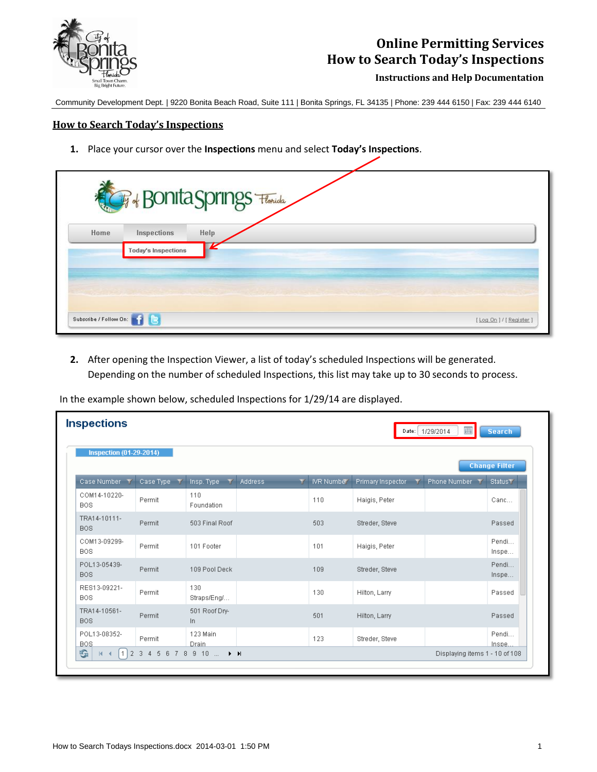

## **Online Permitting Services How to Search Today's Inspections**

**Instructions and Help Documentation**

Community Development Dept. | 9220 Bonita Beach Road, Suite 111 | Bonita Springs, FL 34135 | Phone: 239 444 6150 | Fax: 239 444 6140

## **How to Search Today's Inspections**

**1.** Place your cursor over the **Inspections** menu and select **Today's Inspections**.

| Home | <b>CF + Bonita Springs</b> Florida<br>Inspections | Help |  |  |
|------|---------------------------------------------------|------|--|--|
|      | <b>Today's Inspections</b>                        |      |  |  |
|      |                                                   |      |  |  |

**2.** After opening the Inspection Viewer, a list of today's scheduled Inspections will be generated. Depending on the number of scheduled Inspections, this list may take up to 30 seconds to process.

| In the example shown below, scheduled Inspections for 1/29/14 are displayed. |  |  |
|------------------------------------------------------------------------------|--|--|
|------------------------------------------------------------------------------|--|--|

|                                                        |             |                                             |                      |            |                   | Date: 1/29/2014<br>囲           | Search          |  |
|--------------------------------------------------------|-------------|---------------------------------------------|----------------------|------------|-------------------|--------------------------------|-----------------|--|
| <b>Inspection (01-29-2014)</b><br><b>Change Filter</b> |             |                                             |                      |            |                   |                                |                 |  |
| Case Number                                            | Case Type T | Insp. Type                                  | <b>Address</b><br>v. | IVR Number | Primary Inspector | Phone Number                   | <b>Status T</b> |  |
| COM14-10220-<br><b>BOS</b>                             | Permit      | 110<br>Foundation                           |                      | 110        | Haigis, Peter     |                                | Canc            |  |
| TRA14-10111-<br><b>BOS</b>                             | Permit      | 503 Final Roof                              |                      | 503        | Streder, Steve    |                                | Passed          |  |
| COM13-09299-<br><b>BOS</b>                             | Permit      | 101 Footer                                  |                      | 101        | Haigis, Peter     |                                | Pendi<br>Inspe  |  |
| POL13-05439-<br><b>BOS</b>                             | Permit      | 109 Pool Deck                               |                      | 109        | Streder, Steve    |                                | Pendi<br>Inspe  |  |
| RES13-09221-<br><b>BOS</b>                             | Permit      | 130<br>Straps/Eng/                          |                      | 130        | Hilton, Larry     |                                | Passed          |  |
| TRA14-10561-<br><b>BOS</b>                             | Permit      | 501 Roof Dry-<br>In.                        |                      | 501        | Hilton, Larry     |                                | Passed          |  |
| POL13-08352-<br><b>BOS</b>                             | Permit      | 123 Main<br>Drain                           |                      | 123        | Streder, Steve    |                                | Pendi<br>Inspe  |  |
| G<br>$\mathbb{N}$                                      | 12345678910 | $\blacktriangleright$ $\blacktriangleright$ |                      |            |                   | Displaying items 1 - 10 of 108 |                 |  |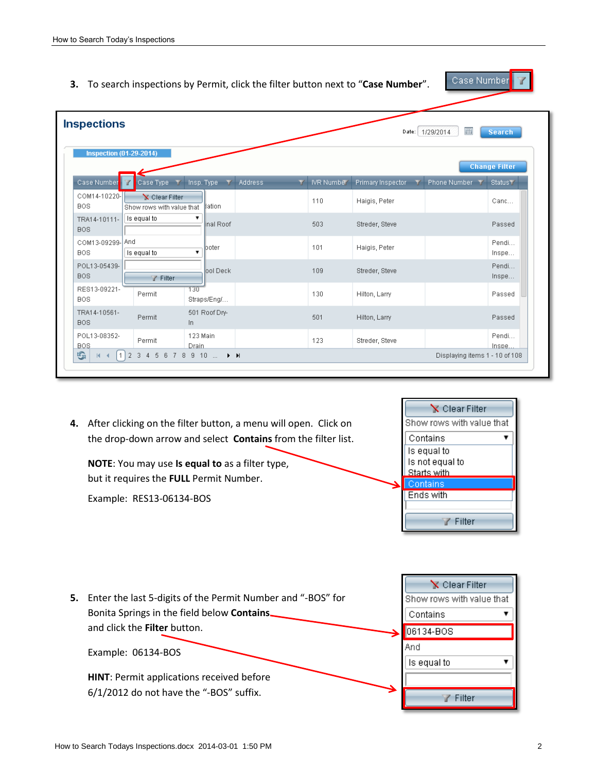- Case Number **3.** To search inspections by Permit, click the filter button next to "**Case Number**". **Inspections** Date: 1/29/2014 圃 **Search Inspection (01-29-2014) Change Filter** Case Type T Insp. Type T Address Y IVR Number Primary Inspector Y Phone Number Y Status Y Case Number COM14-10220-Clear Filter 110 Haigis, Peter Canc... **BOS** ation Show rows with value that TRA14-10111-Is equal to nal Roof 503 Streder, Steve Passed **BOS** COM13-09299-And Pendi... 101 Haigis, Peter poter Is equal to  $\overline{\phantom{a}}$ **BOS** Inspe... POL13-05439-Pendi... ool Deck 109 Streder, Steve BOS. Inspe.. Filter RES13-09221- $130$ Permit 130 Passed Hilton, Larry **BOS** Straps/Eng/... TRA14-10561-501 Roof Dry-Permit 501 Hilton, Larry Passed BOS. In POL13-08352-123 Main Pendi... Permit 123 Streder, Steve **BOS** Drain Inspe. GI  $M$  4 1 2 3 4 5 6 7 8 9 10 ... Displaying items 1 - 10 of 108
	- **4.** After clicking on the filter button, a menu will open. Click on the drop-down arrow and select **Contains** from the filter list.

**NOTE**: You may use **Is equal to** as a filter type, but it requires the **FULL** Permit Number.

Example: RES13-06134-BOS



Clear Filter **5.** Enter the last 5-digits of the Permit Number and "-BOS" for Show rows with value that Bonita Springs in the field below **Contains** Contains 4 and click the **Filter** button. 06134-BOS And Example: 06134-BOS Is equal to 7 **HINT**: Permit applications received before 6/1/2012 do not have the "-BOS" suffix.Filter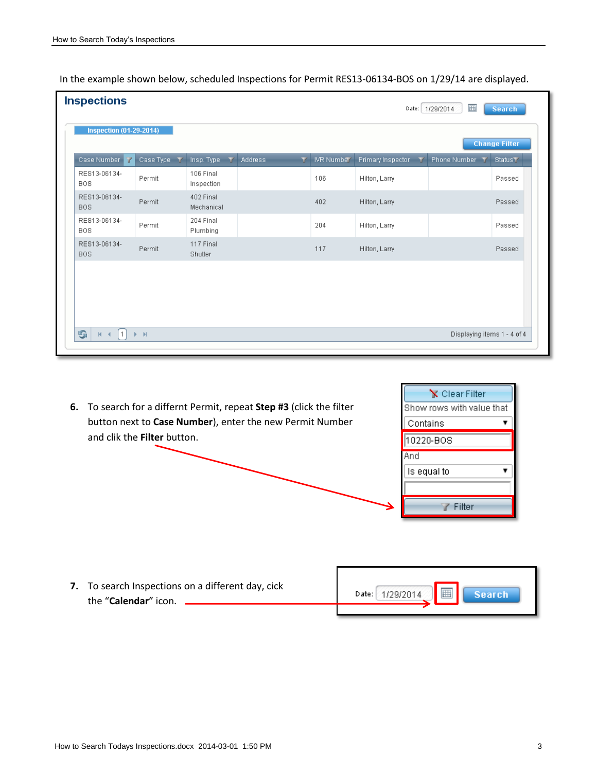|  | In the example shown below, scheduled Inspections for Permit RES13-06134-BOS on 1/29/14 are displayed. |
|--|--------------------------------------------------------------------------------------------------------|
|--|--------------------------------------------------------------------------------------------------------|

| <b>Inspections</b><br>圃<br>Date: 1/29/2014<br><b>Search</b> |                                                  |                                        |              |            |                                   |              |                     |  |
|-------------------------------------------------------------|--------------------------------------------------|----------------------------------------|--------------|------------|-----------------------------------|--------------|---------------------|--|
| <b>Inspection (01-29-2014)</b><br><b>Change Filter</b>      |                                                  |                                        |              |            |                                   |              |                     |  |
| Case Number<br>v                                            | Case Type T                                      | Insp. Type<br>$\overline{\phantom{a}}$ | Address<br>Y | IVR Number | Primary Inspector<br>$\mathbf{v}$ | Phone Number | Status <sup>T</sup> |  |
| RES13-06134-<br><b>BOS</b>                                  | Permit                                           | 106 Final<br>Inspection                |              | 106        | Hilton, Larry                     |              | Passed              |  |
| RES13-06134-<br><b>BOS</b>                                  | Permit                                           | 402 Final<br>Mechanical                |              | 402        | Hilton, Larry                     |              | Passed              |  |
| RES13-06134-<br><b>BOS</b>                                  | Permit                                           | 204 Final<br>Plumbing                  |              | 204        | Hilton, Larry                     |              | Passed              |  |
| RES13-06134-<br><b>BOS</b>                                  | Permit                                           | 117 Final<br>Shutter                   |              | 117        | Hilton, Larry                     |              | Passed              |  |
|                                                             |                                                  |                                        |              |            |                                   |              |                     |  |
|                                                             |                                                  |                                        |              |            |                                   |              |                     |  |
|                                                             |                                                  |                                        |              |            |                                   |              |                     |  |
| G<br>$\vert$ 1<br>$ \P $<br>$\blacktriangleleft$            | Displaying items 1 - 4 of 4<br>$\mathbb{R}$ . In |                                        |              |            |                                   |              |                     |  |

**6.** To search for a differnt Permit, repeat **Step #3** (click the filter button next to **Case Number**), enter the new Permit Number and clik the **Filter** button.



圓

**Search** 

**7.** To search Inspections on a different day, cick Date: 1/29/2014 the "**Calendar**" icon.